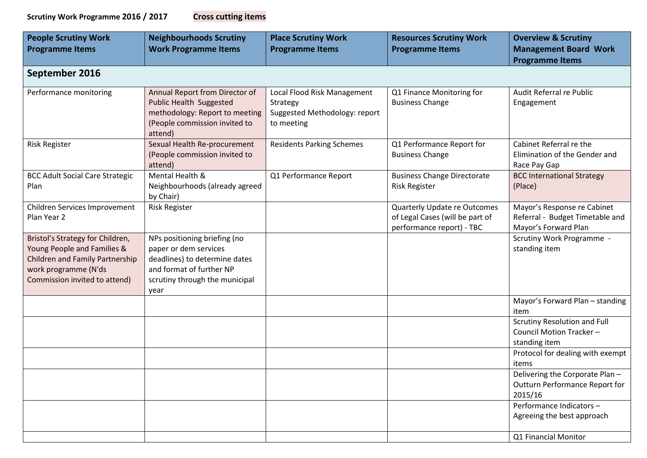| <b>Cross cutting item</b> |
|---------------------------|
|---------------------------|

| <b>People Scrutiny Work</b><br><b>Programme Items</b>                                                                                                       | <b>Neighbourhoods Scrutiny</b><br><b>Work Programme Items</b>                                                                                                | <b>Place Scrutiny Work</b><br><b>Programme Items</b>                                   | <b>Resources Scrutiny Work</b><br><b>Programme Items</b>                                            | <b>Overview &amp; Scrutiny</b><br><b>Management Board Work</b><br><b>Programme Items</b>                      |
|-------------------------------------------------------------------------------------------------------------------------------------------------------------|--------------------------------------------------------------------------------------------------------------------------------------------------------------|----------------------------------------------------------------------------------------|-----------------------------------------------------------------------------------------------------|---------------------------------------------------------------------------------------------------------------|
| September 2016                                                                                                                                              |                                                                                                                                                              |                                                                                        |                                                                                                     |                                                                                                               |
| Performance monitoring                                                                                                                                      | Annual Report from Director of<br><b>Public Health Suggested</b><br>methodology: Report to meeting<br>(People commission invited to<br>attend)               | Local Flood Risk Management<br>Strategy<br>Suggested Methodology: report<br>to meeting | Q1 Finance Monitoring for<br><b>Business Change</b>                                                 | Audit Referral re Public<br>Engagement                                                                        |
| <b>Risk Register</b>                                                                                                                                        | Sexual Health Re-procurement<br>(People commission invited to<br>attend)                                                                                     | <b>Residents Parking Schemes</b>                                                       | Q1 Performance Report for<br><b>Business Change</b>                                                 | Cabinet Referral re the<br>Elimination of the Gender and<br>Race Pay Gap                                      |
| <b>BCC Adult Social Care Strategic</b><br>Plan                                                                                                              | Mental Health &<br>Neighbourhoods (already agreed<br>by Chair)                                                                                               | Q1 Performance Report                                                                  | <b>Business Change Directorate</b><br><b>Risk Register</b>                                          | <b>BCC International Strategy</b><br>(Place)                                                                  |
| Children Services Improvement<br>Plan Year 2                                                                                                                | <b>Risk Register</b>                                                                                                                                         |                                                                                        | <b>Quarterly Update re Outcomes</b><br>of Legal Cases (will be part of<br>performance report) - TBC | Mayor's Response re Cabinet<br>Referral - Budget Timetable and<br>Mayor's Forward Plan                        |
| Bristol's Strategy for Children,<br>Young People and Families &<br>Children and Family Partnership<br>work programme (N'ds<br>Commission invited to attend) | NPs positioning briefing (no<br>paper or dem services<br>deadlines) to determine dates<br>and format of further NP<br>scrutiny through the municipal<br>year |                                                                                        |                                                                                                     | Scrutiny Work Programme -<br>standing item                                                                    |
|                                                                                                                                                             |                                                                                                                                                              |                                                                                        |                                                                                                     | Mayor's Forward Plan - standing<br>item                                                                       |
|                                                                                                                                                             |                                                                                                                                                              |                                                                                        |                                                                                                     | Scrutiny Resolution and Full<br>Council Motion Tracker -<br>standing item<br>Protocol for dealing with exempt |
|                                                                                                                                                             |                                                                                                                                                              |                                                                                        |                                                                                                     | items<br>Delivering the Corporate Plan -<br>Outturn Performance Report for<br>2015/16                         |
|                                                                                                                                                             |                                                                                                                                                              |                                                                                        |                                                                                                     | Performance Indicators-<br>Agreeing the best approach                                                         |
|                                                                                                                                                             |                                                                                                                                                              |                                                                                        |                                                                                                     | Q1 Financial Monitor                                                                                          |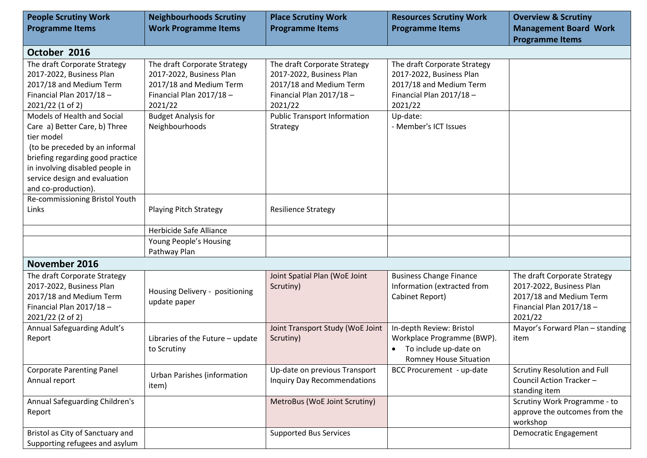| <b>People Scrutiny Work</b><br><b>Programme Items</b>               | <b>Neighbourhoods Scrutiny</b><br><b>Work Programme Items</b> | <b>Place Scrutiny Work</b><br><b>Programme Items</b>     | <b>Resources Scrutiny Work</b><br><b>Programme Items</b> | <b>Overview &amp; Scrutiny</b><br><b>Management Board Work</b> |
|---------------------------------------------------------------------|---------------------------------------------------------------|----------------------------------------------------------|----------------------------------------------------------|----------------------------------------------------------------|
| October 2016                                                        |                                                               |                                                          |                                                          | <b>Programme Items</b>                                         |
|                                                                     |                                                               |                                                          |                                                          |                                                                |
| The draft Corporate Strategy<br>2017-2022, Business Plan            | The draft Corporate Strategy<br>2017-2022, Business Plan      | The draft Corporate Strategy<br>2017-2022, Business Plan | The draft Corporate Strategy<br>2017-2022, Business Plan |                                                                |
| 2017/18 and Medium Term                                             | 2017/18 and Medium Term                                       | 2017/18 and Medium Term                                  | 2017/18 and Medium Term                                  |                                                                |
| Financial Plan 2017/18-                                             | Financial Plan $2017/18$ -                                    | Financial Plan 2017/18-                                  | Financial Plan 2017/18-                                  |                                                                |
| 2021/22 (1 of 2)                                                    | 2021/22                                                       | 2021/22                                                  | 2021/22                                                  |                                                                |
| Models of Health and Social                                         | <b>Budget Analysis for</b>                                    | <b>Public Transport Information</b>                      | Up-date:                                                 |                                                                |
| Care a) Better Care, b) Three                                       | Neighbourhoods                                                | Strategy                                                 | - Member's ICT Issues                                    |                                                                |
| tier model                                                          |                                                               |                                                          |                                                          |                                                                |
| (to be preceded by an informal                                      |                                                               |                                                          |                                                          |                                                                |
| briefing regarding good practice<br>in involving disabled people in |                                                               |                                                          |                                                          |                                                                |
| service design and evaluation                                       |                                                               |                                                          |                                                          |                                                                |
| and co-production).                                                 |                                                               |                                                          |                                                          |                                                                |
| Re-commissioning Bristol Youth                                      |                                                               |                                                          |                                                          |                                                                |
| Links                                                               | <b>Playing Pitch Strategy</b>                                 | <b>Resilience Strategy</b>                               |                                                          |                                                                |
|                                                                     |                                                               |                                                          |                                                          |                                                                |
|                                                                     | Herbicide Safe Alliance                                       |                                                          |                                                          |                                                                |
|                                                                     | Young People's Housing                                        |                                                          |                                                          |                                                                |
|                                                                     | Pathway Plan                                                  |                                                          |                                                          |                                                                |
| November 2016                                                       |                                                               |                                                          |                                                          |                                                                |
| The draft Corporate Strategy                                        |                                                               | Joint Spatial Plan (WoE Joint                            | <b>Business Change Finance</b>                           | The draft Corporate Strategy                                   |
| 2017-2022, Business Plan                                            | Housing Delivery - positioning                                | Scrutiny)                                                | Information (extracted from                              | 2017-2022, Business Plan                                       |
| 2017/18 and Medium Term                                             | update paper                                                  |                                                          | Cabinet Report)                                          | 2017/18 and Medium Term                                        |
| Financial Plan 2017/18-                                             |                                                               |                                                          |                                                          | Financial Plan 2017/18-<br>2021/22                             |
| 2021/22 (2 of 2)<br>Annual Safeguarding Adult's                     |                                                               | Joint Transport Study (WoE Joint                         | In-depth Review: Bristol                                 | Mayor's Forward Plan - standing                                |
| Report                                                              | Libraries of the Future - update                              | Scrutiny)                                                | Workplace Programme (BWP).                               | item                                                           |
|                                                                     | to Scrutiny                                                   |                                                          | To include up-date on<br>$\bullet$                       |                                                                |
|                                                                     |                                                               |                                                          | <b>Romney House Situation</b>                            |                                                                |
| <b>Corporate Parenting Panel</b>                                    |                                                               | Up-date on previous Transport                            | <b>BCC Procurement - up-date</b>                         | Scrutiny Resolution and Full                                   |
| Annual report                                                       | <b>Urban Parishes (information</b><br>item)                   | <b>Inquiry Day Recommendations</b>                       |                                                          | Council Action Tracker-                                        |
|                                                                     |                                                               |                                                          |                                                          | standing item                                                  |
| Annual Safeguarding Children's                                      |                                                               | MetroBus (WoE Joint Scrutiny)                            |                                                          | Scrutiny Work Programme - to                                   |
| Report                                                              |                                                               |                                                          |                                                          | approve the outcomes from the                                  |
|                                                                     |                                                               |                                                          |                                                          | workshop                                                       |
| Bristol as City of Sanctuary and<br>Supporting refugees and asylum  |                                                               | <b>Supported Bus Services</b>                            |                                                          | Democratic Engagement                                          |
|                                                                     |                                                               |                                                          |                                                          |                                                                |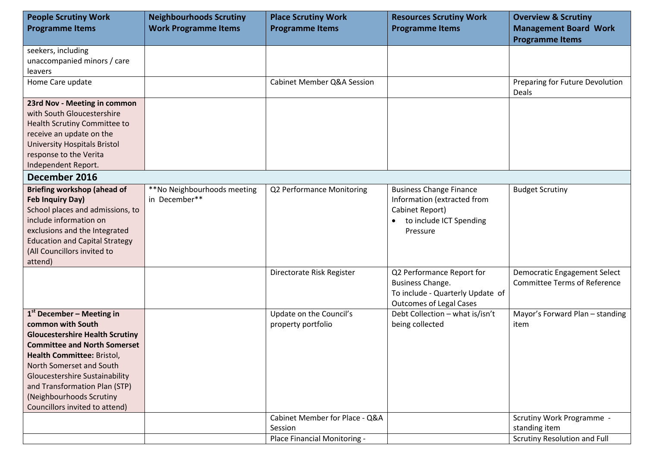| <b>People Scrutiny Work</b>                   | <b>Neighbourhoods Scrutiny</b> | <b>Place Scrutiny Work</b>            | <b>Resources Scrutiny Work</b>                | <b>Overview &amp; Scrutiny</b>                                             |
|-----------------------------------------------|--------------------------------|---------------------------------------|-----------------------------------------------|----------------------------------------------------------------------------|
| <b>Programme Items</b>                        | <b>Work Programme Items</b>    | <b>Programme Items</b>                | <b>Programme Items</b>                        | <b>Management Board Work</b>                                               |
|                                               |                                |                                       |                                               | <b>Programme Items</b>                                                     |
| seekers, including                            |                                |                                       |                                               |                                                                            |
| unaccompanied minors / care<br><b>leavers</b> |                                |                                       |                                               |                                                                            |
| Home Care update                              |                                | <b>Cabinet Member Q&amp;A Session</b> |                                               | Preparing for Future Devolution                                            |
|                                               |                                |                                       |                                               | Deals                                                                      |
| 23rd Nov - Meeting in common                  |                                |                                       |                                               |                                                                            |
| with South Gloucestershire                    |                                |                                       |                                               |                                                                            |
| <b>Health Scrutiny Committee to</b>           |                                |                                       |                                               |                                                                            |
| receive an update on the                      |                                |                                       |                                               |                                                                            |
| <b>University Hospitals Bristol</b>           |                                |                                       |                                               |                                                                            |
| response to the Verita                        |                                |                                       |                                               |                                                                            |
| Independent Report.                           |                                |                                       |                                               |                                                                            |
| December 2016                                 |                                |                                       |                                               |                                                                            |
| <b>Briefing workshop (ahead of</b>            | **No Neighbourhoods meeting    | Q2 Performance Monitoring             | <b>Business Change Finance</b>                | <b>Budget Scrutiny</b>                                                     |
| Feb Inquiry Day)                              | in December**                  |                                       | Information (extracted from                   |                                                                            |
| School places and admissions, to              |                                |                                       | Cabinet Report)                               |                                                                            |
| include information on                        |                                |                                       | to include ICT Spending<br>$\bullet$          |                                                                            |
| exclusions and the Integrated                 |                                |                                       | Pressure                                      |                                                                            |
| <b>Education and Capital Strategy</b>         |                                |                                       |                                               |                                                                            |
| (All Councillors invited to                   |                                |                                       |                                               |                                                                            |
| attend)                                       |                                |                                       |                                               |                                                                            |
|                                               |                                | Directorate Risk Register             | Q2 Performance Report for<br>Business Change. | <b>Democratic Engagement Select</b><br><b>Committee Terms of Reference</b> |
|                                               |                                |                                       | To include - Quarterly Update of              |                                                                            |
|                                               |                                |                                       | <b>Outcomes of Legal Cases</b>                |                                                                            |
| $1st$ December – Meeting in                   |                                | Update on the Council's               | Debt Collection - what is/isn't               | Mayor's Forward Plan - standing                                            |
| common with South                             |                                | property portfolio                    | being collected                               | item                                                                       |
| <b>Gloucestershire Health Scrutiny</b>        |                                |                                       |                                               |                                                                            |
| <b>Committee and North Somerset</b>           |                                |                                       |                                               |                                                                            |
| Health Committee: Bristol,                    |                                |                                       |                                               |                                                                            |
| North Somerset and South                      |                                |                                       |                                               |                                                                            |
| <b>Gloucestershire Sustainability</b>         |                                |                                       |                                               |                                                                            |
| and Transformation Plan (STP)                 |                                |                                       |                                               |                                                                            |
| (Neighbourhoods Scrutiny                      |                                |                                       |                                               |                                                                            |
| Councillors invited to attend)                |                                |                                       |                                               |                                                                            |
|                                               |                                | Cabinet Member for Place - Q&A        |                                               | Scrutiny Work Programme -                                                  |
|                                               |                                | Session                               |                                               | standing item                                                              |
|                                               |                                | Place Financial Monitoring -          |                                               | Scrutiny Resolution and Full                                               |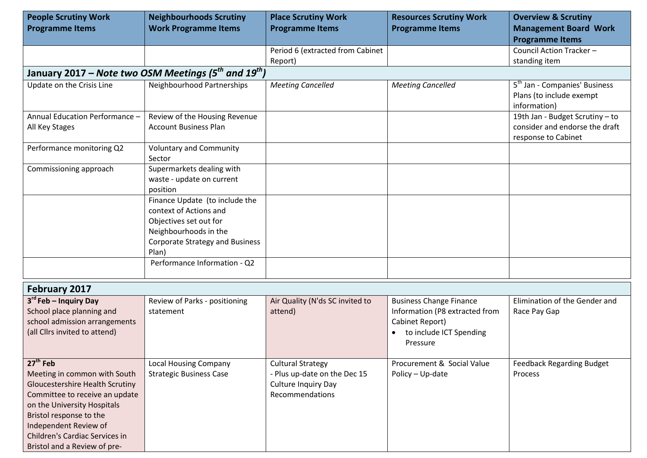| <b>People Scrutiny Work</b>                                                                                                                                                                                                                                                 | <b>Neighbourhoods Scrutiny</b>                                                                                                                                 | <b>Place Scrutiny Work</b>                                                                         | <b>Resources Scrutiny Work</b>                                                                                             | <b>Overview &amp; Scrutiny</b>                                                        |
|-----------------------------------------------------------------------------------------------------------------------------------------------------------------------------------------------------------------------------------------------------------------------------|----------------------------------------------------------------------------------------------------------------------------------------------------------------|----------------------------------------------------------------------------------------------------|----------------------------------------------------------------------------------------------------------------------------|---------------------------------------------------------------------------------------|
| <b>Programme Items</b>                                                                                                                                                                                                                                                      | <b>Work Programme Items</b>                                                                                                                                    | <b>Programme Items</b>                                                                             | <b>Programme Items</b>                                                                                                     | <b>Management Board Work</b>                                                          |
|                                                                                                                                                                                                                                                                             |                                                                                                                                                                |                                                                                                    |                                                                                                                            | <b>Programme Items</b>                                                                |
|                                                                                                                                                                                                                                                                             |                                                                                                                                                                | Period 6 (extracted from Cabinet                                                                   |                                                                                                                            | Council Action Tracker-                                                               |
|                                                                                                                                                                                                                                                                             |                                                                                                                                                                | Report)                                                                                            |                                                                                                                            | standing item                                                                         |
|                                                                                                                                                                                                                                                                             | January 2017 – Note two OSM Meetings (5 <sup>th</sup> and $19^{th}$ )                                                                                          |                                                                                                    |                                                                                                                            |                                                                                       |
| Update on the Crisis Line                                                                                                                                                                                                                                                   | Neighbourhood Partnerships                                                                                                                                     | <b>Meeting Cancelled</b>                                                                           | <b>Meeting Cancelled</b>                                                                                                   | 5 <sup>th</sup> Jan - Companies' Business<br>Plans (to include exempt<br>information) |
| Annual Education Performance -                                                                                                                                                                                                                                              | Review of the Housing Revenue                                                                                                                                  |                                                                                                    |                                                                                                                            | 19th Jan - Budget Scrutiny - to                                                       |
| All Key Stages                                                                                                                                                                                                                                                              | <b>Account Business Plan</b>                                                                                                                                   |                                                                                                    |                                                                                                                            | consider and endorse the draft<br>response to Cabinet                                 |
| Performance monitoring Q2                                                                                                                                                                                                                                                   | <b>Voluntary and Community</b><br>Sector                                                                                                                       |                                                                                                    |                                                                                                                            |                                                                                       |
| Commissioning approach                                                                                                                                                                                                                                                      | Supermarkets dealing with<br>waste - update on current<br>position                                                                                             |                                                                                                    |                                                                                                                            |                                                                                       |
|                                                                                                                                                                                                                                                                             | Finance Update (to include the<br>context of Actions and<br>Objectives set out for<br>Neighbourhoods in the<br><b>Corporate Strategy and Business</b><br>Plan) |                                                                                                    |                                                                                                                            |                                                                                       |
|                                                                                                                                                                                                                                                                             | Performance Information - Q2                                                                                                                                   |                                                                                                    |                                                                                                                            |                                                                                       |
| <b>February 2017</b>                                                                                                                                                                                                                                                        |                                                                                                                                                                |                                                                                                    |                                                                                                                            |                                                                                       |
| 3 <sup>rd</sup> Feb - Inquiry Day<br>School place planning and<br>school admission arrangements<br>(all Cllrs invited to attend)                                                                                                                                            | Review of Parks - positioning<br>statement                                                                                                                     | Air Quality (N'ds SC invited to<br>attend)                                                         | <b>Business Change Finance</b><br>Information (P8 extracted from<br>Cabinet Report)<br>to include ICT Spending<br>Pressure | Elimination of the Gender and<br>Race Pay Gap                                         |
| $27th$ Feb<br>Meeting in common with South<br><b>Gloucestershire Health Scrutiny</b><br>Committee to receive an update<br>on the University Hospitals<br>Bristol response to the<br>Independent Review of<br>Children's Cardiac Services in<br>Bristol and a Review of pre- | <b>Local Housing Company</b><br><b>Strategic Business Case</b>                                                                                                 | <b>Cultural Strategy</b><br>- Plus up-date on the Dec 15<br>Culture Inquiry Day<br>Recommendations | Procurement & Social Value<br>Policy - Up-date                                                                             | <b>Feedback Regarding Budget</b><br>Process                                           |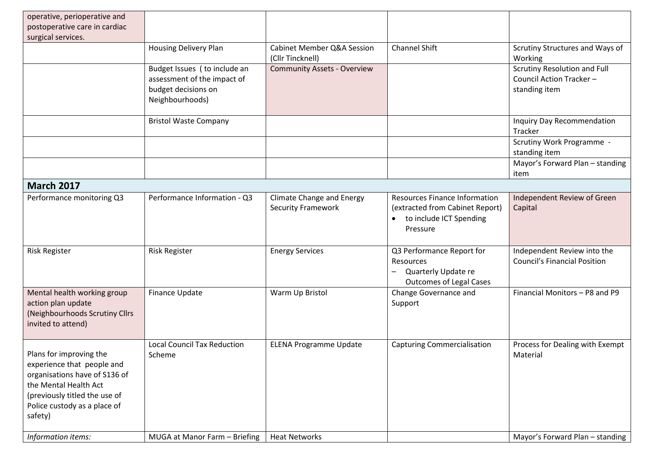| operative, perioperative and<br>postoperative care in cardiac<br>surgical services.                                                                                                         |                                                                                                       |                                                               |                                                                                                                |                                                                          |
|---------------------------------------------------------------------------------------------------------------------------------------------------------------------------------------------|-------------------------------------------------------------------------------------------------------|---------------------------------------------------------------|----------------------------------------------------------------------------------------------------------------|--------------------------------------------------------------------------|
|                                                                                                                                                                                             | <b>Housing Delivery Plan</b>                                                                          | <b>Cabinet Member Q&amp;A Session</b><br>(Cllr Tincknell)     | <b>Channel Shift</b>                                                                                           | Scrutiny Structures and Ways of<br>Working                               |
|                                                                                                                                                                                             | Budget Issues (to include an<br>assessment of the impact of<br>budget decisions on<br>Neighbourhoods) | <b>Community Assets - Overview</b>                            |                                                                                                                | Scrutiny Resolution and Full<br>Council Action Tracker-<br>standing item |
|                                                                                                                                                                                             | <b>Bristol Waste Company</b>                                                                          |                                                               |                                                                                                                | Inquiry Day Recommendation<br>Tracker                                    |
|                                                                                                                                                                                             |                                                                                                       |                                                               |                                                                                                                | Scrutiny Work Programme -<br>standing item                               |
|                                                                                                                                                                                             |                                                                                                       |                                                               |                                                                                                                | Mayor's Forward Plan - standing<br>item                                  |
| <b>March 2017</b>                                                                                                                                                                           |                                                                                                       |                                                               |                                                                                                                |                                                                          |
| Performance monitoring Q3                                                                                                                                                                   | Performance Information - Q3                                                                          | <b>Climate Change and Energy</b><br><b>Security Framework</b> | <b>Resources Finance Information</b><br>(extracted from Cabinet Report)<br>to include ICT Spending<br>Pressure | Independent Review of Green<br>Capital                                   |
| <b>Risk Register</b>                                                                                                                                                                        | <b>Risk Register</b>                                                                                  | <b>Energy Services</b>                                        | Q3 Performance Report for<br>Resources<br>Quarterly Update re<br><b>Outcomes of Legal Cases</b>                | Independent Review into the<br><b>Council's Financial Position</b>       |
| Mental health working group<br>action plan update<br>(Neighbourhoods Scrutiny Cllrs<br>invited to attend)                                                                                   | Finance Update                                                                                        | Warm Up Bristol                                               | Change Governance and<br>Support                                                                               | Financial Monitors - P8 and P9                                           |
| Plans for improving the<br>experience that people and<br>organisations have of S136 of<br>the Mental Health Act<br>(previously titled the use of<br>Police custody as a place of<br>safety) | <b>Local Council Tax Reduction</b><br>Scheme                                                          | <b>ELENA Programme Update</b>                                 | <b>Capturing Commercialisation</b>                                                                             | Process for Dealing with Exempt<br>Material                              |
| Information items:                                                                                                                                                                          | MUGA at Manor Farm - Briefing                                                                         | <b>Heat Networks</b>                                          |                                                                                                                | Mayor's Forward Plan - standing                                          |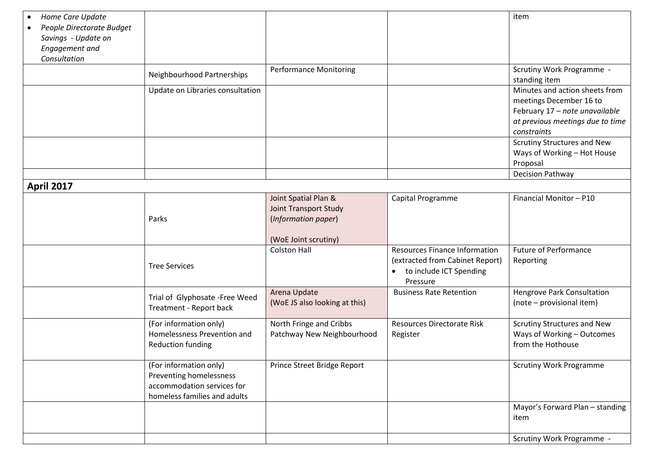| Home Care Update<br>People Directorate Budget<br>Savings - Update on<br>Engagement and<br>Consultation |                                                                                                                 |                                                                                              |                                                                                                                             | item                                                                                                                                           |
|--------------------------------------------------------------------------------------------------------|-----------------------------------------------------------------------------------------------------------------|----------------------------------------------------------------------------------------------|-----------------------------------------------------------------------------------------------------------------------------|------------------------------------------------------------------------------------------------------------------------------------------------|
|                                                                                                        | Neighbourhood Partnerships                                                                                      | <b>Performance Monitoring</b>                                                                |                                                                                                                             | Scrutiny Work Programme -<br>standing item                                                                                                     |
|                                                                                                        | Update on Libraries consultation                                                                                |                                                                                              |                                                                                                                             | Minutes and action sheets from<br>meetings December 16 to<br>February 17 - note unavailable<br>at previous meetings due to time<br>constraints |
|                                                                                                        |                                                                                                                 |                                                                                              |                                                                                                                             | Scrutiny Structures and New<br>Ways of Working - Hot House<br>Proposal                                                                         |
|                                                                                                        |                                                                                                                 |                                                                                              |                                                                                                                             | <b>Decision Pathway</b>                                                                                                                        |
| <b>April 2017</b>                                                                                      |                                                                                                                 |                                                                                              |                                                                                                                             |                                                                                                                                                |
|                                                                                                        | Parks                                                                                                           | Joint Spatial Plan &<br>Joint Transport Study<br>(Information paper)<br>(WoE Joint scrutiny) | Capital Programme                                                                                                           | Financial Monitor - P10                                                                                                                        |
|                                                                                                        | <b>Tree Services</b>                                                                                            | <b>Colston Hall</b>                                                                          | <b>Resources Finance Information</b><br>(extracted from Cabinet Report)<br>to include ICT Spending<br>$\bullet$<br>Pressure | <b>Future of Performance</b><br>Reporting                                                                                                      |
|                                                                                                        | Trial of Glyphosate -Free Weed<br>Treatment - Report back                                                       | Arena Update<br>(WoE JS also looking at this)                                                | <b>Business Rate Retention</b>                                                                                              | Hengrove Park Consultation<br>(note - provisional item)                                                                                        |
|                                                                                                        | (For information only)<br>Homelessness Prevention and<br><b>Reduction funding</b>                               | North Fringe and Cribbs<br>Patchway New Neighbourhood                                        | <b>Resources Directorate Risk</b><br>Register                                                                               | Scrutiny Structures and New<br>Ways of Working - Outcomes<br>from the Hothouse                                                                 |
|                                                                                                        | (For information only)<br>Preventing homelessness<br>accommodation services for<br>homeless families and adults | Prince Street Bridge Report                                                                  |                                                                                                                             | <b>Scrutiny Work Programme</b>                                                                                                                 |
|                                                                                                        |                                                                                                                 |                                                                                              |                                                                                                                             | Mayor's Forward Plan - standing<br>item                                                                                                        |
|                                                                                                        |                                                                                                                 |                                                                                              |                                                                                                                             | Scrutiny Work Programme -                                                                                                                      |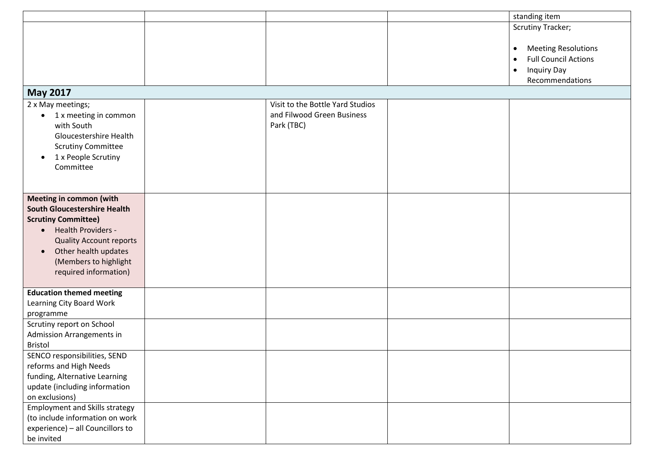|                                                                                                                                                                                                                                                                 |                                                                              | standing item                                                                                                                             |
|-----------------------------------------------------------------------------------------------------------------------------------------------------------------------------------------------------------------------------------------------------------------|------------------------------------------------------------------------------|-------------------------------------------------------------------------------------------------------------------------------------------|
|                                                                                                                                                                                                                                                                 |                                                                              | <b>Scrutiny Tracker;</b>                                                                                                                  |
|                                                                                                                                                                                                                                                                 |                                                                              | <b>Meeting Resolutions</b><br>$\bullet$<br><b>Full Council Actions</b><br>$\bullet$<br><b>Inquiry Day</b><br>$\bullet$<br>Recommendations |
| <b>May 2017</b>                                                                                                                                                                                                                                                 |                                                                              |                                                                                                                                           |
| 2 x May meetings;<br>1 x meeting in common<br>$\bullet$<br>with South<br>Gloucestershire Health<br><b>Scrutiny Committee</b><br>1 x People Scrutiny<br>$\bullet$<br>Committee                                                                                   | Visit to the Bottle Yard Studios<br>and Filwood Green Business<br>Park (TBC) |                                                                                                                                           |
| <b>Meeting in common (with</b><br><b>South Gloucestershire Health</b><br><b>Scrutiny Committee)</b><br>Health Providers -<br>$\bullet$<br><b>Quality Account reports</b><br>Other health updates<br>$\bullet$<br>(Members to highlight<br>required information) |                                                                              |                                                                                                                                           |
| <b>Education themed meeting</b><br>Learning City Board Work<br>programme                                                                                                                                                                                        |                                                                              |                                                                                                                                           |
| Scrutiny report on School<br>Admission Arrangements in<br><b>Bristol</b>                                                                                                                                                                                        |                                                                              |                                                                                                                                           |
| SENCO responsibilities, SEND<br>reforms and High Needs<br>funding, Alternative Learning<br>update (including information<br>on exclusions)                                                                                                                      |                                                                              |                                                                                                                                           |
| <b>Employment and Skills strategy</b><br>(to include information on work<br>experience) - all Councillors to<br>be invited                                                                                                                                      |                                                                              |                                                                                                                                           |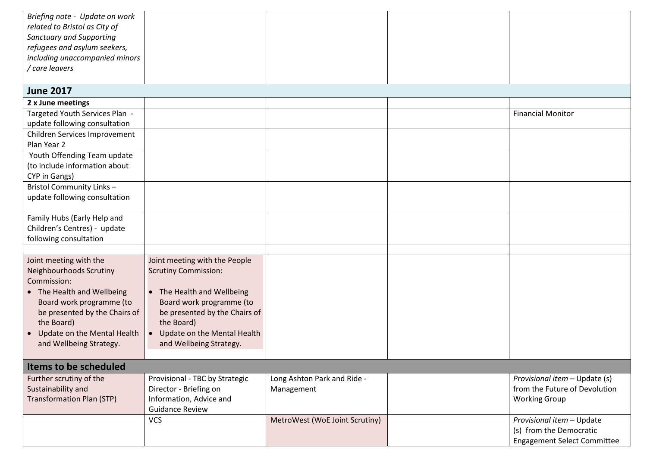| Briefing note - Update on work   |                                |                                |                                    |
|----------------------------------|--------------------------------|--------------------------------|------------------------------------|
| related to Bristol as City of    |                                |                                |                                    |
| <b>Sanctuary and Supporting</b>  |                                |                                |                                    |
| refugees and asylum seekers,     |                                |                                |                                    |
| including unaccompanied minors   |                                |                                |                                    |
| / care leavers                   |                                |                                |                                    |
|                                  |                                |                                |                                    |
| <b>June 2017</b>                 |                                |                                |                                    |
| 2 x June meetings                |                                |                                |                                    |
| Targeted Youth Services Plan -   |                                |                                | <b>Financial Monitor</b>           |
| update following consultation    |                                |                                |                                    |
| Children Services Improvement    |                                |                                |                                    |
| Plan Year 2                      |                                |                                |                                    |
| Youth Offending Team update      |                                |                                |                                    |
| (to include information about    |                                |                                |                                    |
| CYP in Gangs)                    |                                |                                |                                    |
| Bristol Community Links -        |                                |                                |                                    |
| update following consultation    |                                |                                |                                    |
|                                  |                                |                                |                                    |
| Family Hubs (Early Help and      |                                |                                |                                    |
| Children's Centres) - update     |                                |                                |                                    |
| following consultation           |                                |                                |                                    |
|                                  |                                |                                |                                    |
| Joint meeting with the           | Joint meeting with the People  |                                |                                    |
| Neighbourhoods Scrutiny          | <b>Scrutiny Commission:</b>    |                                |                                    |
| Commission:                      |                                |                                |                                    |
| • The Health and Wellbeing       | • The Health and Wellbeing     |                                |                                    |
| Board work programme (to         | Board work programme (to       |                                |                                    |
| be presented by the Chairs of    | be presented by the Chairs of  |                                |                                    |
| the Board)                       | the Board)                     |                                |                                    |
| Update on the Mental Health      | Update on the Mental Health    |                                |                                    |
| and Wellbeing Strategy.          | and Wellbeing Strategy.        |                                |                                    |
|                                  |                                |                                |                                    |
| Items to be scheduled            |                                |                                |                                    |
| Further scrutiny of the          | Provisional - TBC by Strategic | Long Ashton Park and Ride -    | Provisional item - Update (s)      |
| Sustainability and               | Director - Briefing on         | Management                     | from the Future of Devolution      |
| <b>Transformation Plan (STP)</b> | Information, Advice and        |                                | <b>Working Group</b>               |
|                                  | <b>Guidance Review</b>         |                                |                                    |
|                                  | <b>VCS</b>                     | MetroWest (WoE Joint Scrutiny) | Provisional item - Update          |
|                                  |                                |                                | (s) from the Democratic            |
|                                  |                                |                                | <b>Engagement Select Committee</b> |